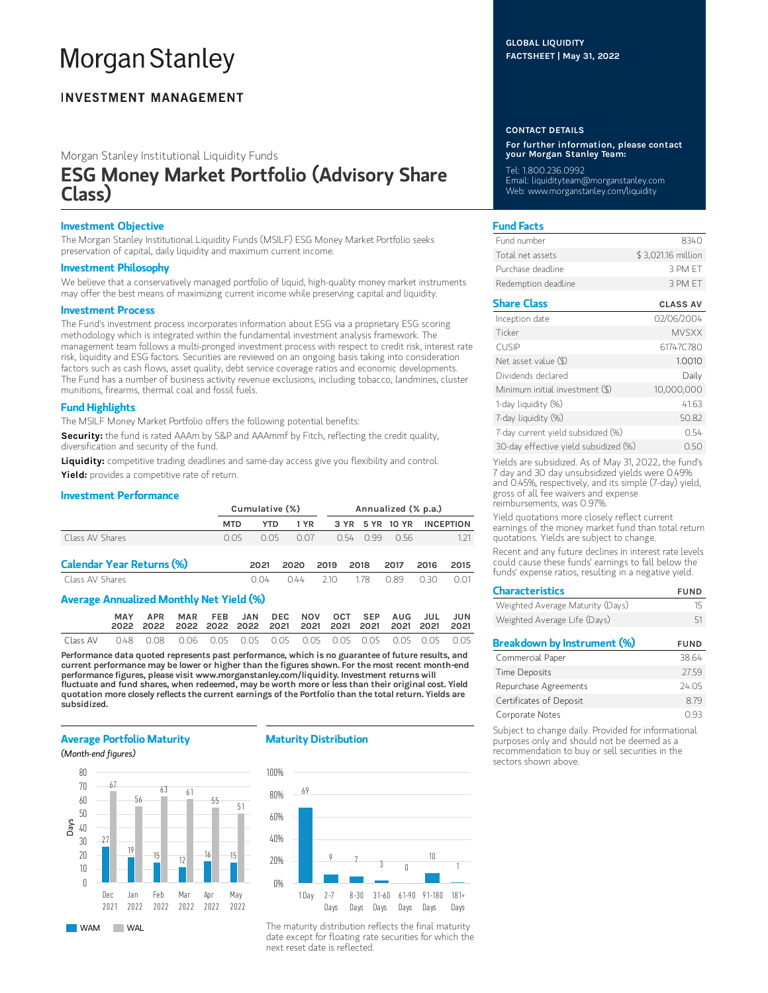# **Morgan Stanley**

## **INVESTMENT MANAGEMENT**

Morgan Stanley Institutional Liquidity Funds

## ESG Money Market Portfolio (Advisory Share Class)

## Investment Objective

The Morgan Stanley Institutional Liquidity Funds (MSILF) ESG Money Market Portfolio seeks preservation of capital, daily liquidity and maximum current income.

## Investment Philosophy

We believe that a conservatively managed portfolio of liquid, high-quality money market instruments may offer the best means of maximizing current income while preserving capital and liquidity.

## Investment Process

The Fund's investment process incorporates information about ESG via a proprietary ESG scoring methodology which is integrated within the fundamental investment analysis framework. The management team follows a multi-pronged investment process with respect to credit risk, interest rate risk, liquidity and ESG factors. Securities are reviewed on an ongoing basis taking into consideration factors such as cash flows, asset quality, debt service coverage ratios and economic developments. The Fund has a number of business activity revenue exclusions, including tobacco, landmines, cluster munitions, firearms, thermal coal and fossil fuels.

## Fund Highlights

The MSILF Money Market Portfolio offers the following potential benefits:

Security: the fund is rated AAAm by S&P and AAAmmf by Fitch, reflecting the credit quality, diversification and security of the fund.

Liquidity: competitive trading deadlines and same-day access give you flexibility and control. Yield: provides a competitive rate of return.

## Investment Performance

|                                                 |            | Cumulative (%) |      |      |      | Annualized (% p.a.) |            |      |                  |  |  |
|-------------------------------------------------|------------|----------------|------|------|------|---------------------|------------|------|------------------|--|--|
|                                                 | <b>MTD</b> | YTD            | 1 YR |      | 3 YR |                     | 5 YR 10 YR |      | <b>INCEPTION</b> |  |  |
| Class AV Shares                                 | O 05       | 0.05           | 0.07 |      | O 54 | O 99                | O 56       |      | 1.21             |  |  |
| <b>Calendar Year Returns (%)</b>                |            | 2021           | 2020 | 2019 | 2018 |                     | 2017       | 2016 | 2015             |  |  |
| Class AV Shares                                 |            | 0.04           | 044  | 210  |      | 178                 | 0.89       | O 30 | 0.01             |  |  |
| <b>Average Annualized Monthly Net Yield (%)</b> |            |                |      |      |      |                     |            |      |                  |  |  |

|          | <b>MAY</b> | APR MAR FEB JAN DEC NOV OCT SEP AUG JUL JUN |  |  |  |  |  |
|----------|------------|---------------------------------------------|--|--|--|--|--|
|          |            |                                             |  |  |  |  |  |
| Class AV |            |                                             |  |  |  |  |  |

Performance data quoted represents past performance, which is no guarantee of future results, and current performance may be lower or higher than the figures shown. For the most recent month-end performance figures, please visit www.morganstanley.com/liquidity. Investment returns will fluctuate and fund shares, when redeemed, may be worth more or less than their original cost. Yield quotation more closely reflects the current earnings of the Portfolio than the total return. Yields are subsidized.

## Average Portfolio Maturity

### (Month-end figures)



WAM WAL

## Maturity Distribution



The maturity distribution reflects the final maturity date except for floating rate securities for which the next reset date is reflected.

## GLOBAL LIQUIDITY FACTSHEET | May 31, 2022

#### CONTACT DETAILS

For further information, please contact your Morgan Stanley Team:

Tel: 1.800.236.0992

Email: liquidityteam@morganstanley.com Web: www.morganstanley.com/liquidity

## Fund Facts

| Fund number         | 8340               |
|---------------------|--------------------|
| Total net assets    | \$3,021.16 million |
| Purchase deadline   | 3 PM FT            |
| Redemption deadline | 3 PM FT            |

## Share Class CLASS AV

| Inception date                        | 02/06/2004   |
|---------------------------------------|--------------|
| Ticker                                | <b>MVSXX</b> |
| <b>CUSIP</b>                          | 61747C780    |
| Net asset value (\$)                  | 1.0010       |
| Dividends declared                    | Daily        |
| Minimum initial investment (\$)       | 10,000,000   |
| 1-day liquidity (%)                   | 41.63        |
| 7-day liquidity (%)                   | 50.82        |
| 7-day current yield subsidized (%)    | 0.54         |
| 30-day effective yield subsidized (%) | N 50         |

Yields are subsidized. As of May 31, 2022, the fund's 7 day and 30 day unsubsidized yields were 0.49% and 0.45%, respectively, and its simple (7-day) yield, gross of all fee waivers and expense reimbursements, was 0.97%.

Yield quotations more closely reflect current earnings of the money market fund than total return quotations. Yields are subject to change.

Recent and any future declines in interest rate levels could cause these funds' earnings to fall below the funds' expense ratios, resulting in a negative yield.

| <b>Characteristics</b>             | <b>FUND</b> |
|------------------------------------|-------------|
| Weighted Average Maturity (Days)   | 15          |
| Weighted Average Life (Days)       | 51          |
| <b>Breakdown by Instrument (%)</b> | <b>FUND</b> |
| Commercial Paper                   | 38.64       |
|                                    |             |
| <b>Time Deposits</b>               | 2759        |

Certificates of Deposit 8.79 Corporate Notes 0.93 Subject to change daily. Provided for informational purposes only and should not be deemed as a

recommendation to buy or sell securities in the sectors shown above.